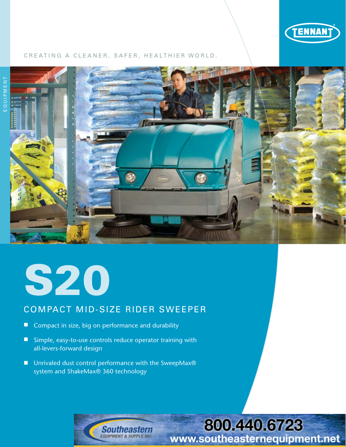

#### CREATING A CLEANER, SAFER, HEALTHIER WORLD.





## COMPACT MID-SIZE RIDER SWEEPER

- Compact in size, big on performance and durability
- Simple, easy-to-use controls reduce operator training with all-levers-forward design
- Unrivaled dust control performance with the SweepMax<sup>®</sup> system and ShakeMax® 360 technology



# 800.440.6723 www.southeasternequipment.net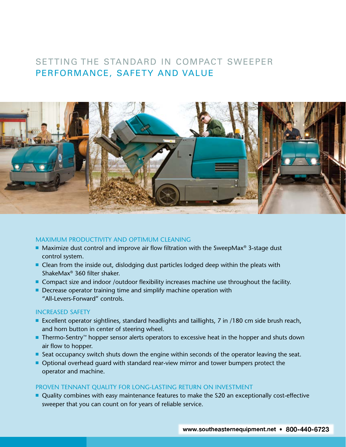### SETTING THE STANDARD IN COMPACT SWEEPER PERFORMANCE, SAFETY AND VALUE



#### MAXIMUM PRODUCTIVITY AND OPTIMUM CLEANING

- **Maximize dust control and improve air flow filtration with the SweepMax<sup>®</sup> 3-stage dust** control system.
- $\blacksquare$  Clean from the inside out, dislodging dust particles lodged deep within the pleats with ShakeMax® 360 filter shaker.
- Compact size and indoor /outdoor flexibility increases machine use throughout the facility.
- $\blacksquare$  Decrease operator training time and simplify machine operation with "All-Levers-Forward" controls.

#### INCREASED SAFETY

- Excellent operator sightlines, standard headlights and taillights, 7 in /180 cm side brush reach, and horn button in center of steering wheel.
- Thermo-Sentry™ hopper sensor alerts operators to excessive heat in the hopper and shuts down air flow to hopper.
- Seat occupancy switch shuts down the engine within seconds of the operator leaving the seat.
- **Optional overhead guard with standard rear-view mirror and tower bumpers protect the** operator and machine.

#### PROVEN TENNANT QUALITY FOR LONG-LASTING RETURN ON INVESTMENT

■ Quality combines with easy maintenance features to make the S20 an exceptionally cost-effective sweeper that you can count on for years of reliable service.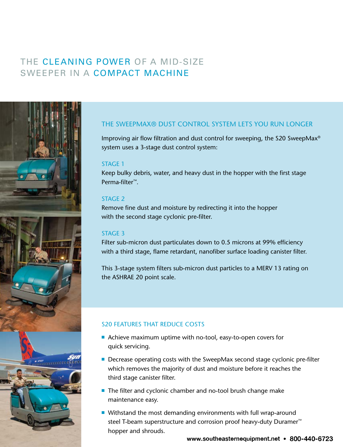# THE CLEANING POWER OF A MID-SIZE SWEEPER IN A COMPACT MACHINE



#### THE SWEEPMAX® DUST CONTROL SYSTEM LETS YOU RUN LONGER

Improving air flow filtration and dust control for sweeping, the S20 SweepMax® system uses a 3-stage dust control system:

#### STAGE 1

Keep bulky debris, water, and heavy dust in the hopper with the first stage Perma-filter™.

#### STAGE 2

Remove fine dust and moisture by redirecting it into the hopper with the second stage cyclonic pre-filter.

#### STAGE 3

Filter sub-micron dust particulates down to 0.5 microns at 99% efficiency with a third stage, flame retardant, nanofiber surface loading canister filter.

This 3-stage system filters sub-micron dust particles to a MERV 13 rating on the ASHRAE 20 point scale.

#### S20 FEATURES THAT REDUCE COSTS

- Achieve maximum uptime with no-tool, easy-to-open covers for quick servicing.
- Decrease operating costs with the SweepMax second stage cyclonic pre-filter which removes the majority of dust and moisture before it reaches the third stage canister filter.
- The filter and cyclonic chamber and no-tool brush change make maintenance easy.
- $\blacksquare$  Withstand the most demanding environments with full wrap-around steel T-beam superstructure and corrosion proof heavy-duty Duramer™ hopper and shrouds.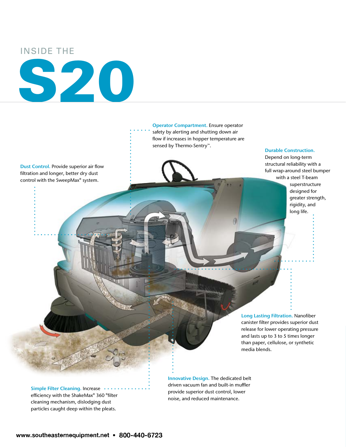INSIDE THE

# S20

safety by alerting and shutting down air flow if increases in hopper temperature are sensed by Thermo-Sentry™.

Operator Compartment. Ensure operator

Dust Control. Provide superior air flow filtration and longer, better dry dust control with the SweepMax® system.

Durable Construction.

Depend on long-term structural reliability with a full wrap-around steel bumper with a steel T-beam

> superstructure designed for greater strength, rigidity, and long life.

Long Lasting Filtration. Nanofiber canister filter provides superior dust release for lower operating pressure and lasts up to 3 to 5 times longer than paper, cellulose, or synthetic media blends.

Simple Filter Cleaning. Increase ••• efficiency with the ShakeMax® 360 ®filter cleaning mechanism, dislodging dust particles caught deep within the pleats.

Innovative Design. The dedicated belt driven vacuum fan and built-in muffler provide superior dust control, lower noise, and reduced maintenance.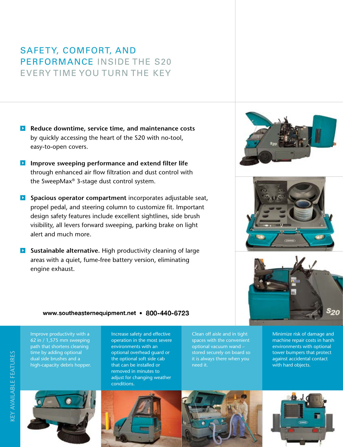# SAFETY, COMFORT, AND PERFORMANCE INSIDE THE S20 EVERY TIME YOU TURN THE KEY

- **Reduce downtime, service time, and maintenance costs** by quickly accessing the heart of the S20 with no-tool, easy-to-open covers.
- **Improve sweeping performance and extend filter life** through enhanced air flow filtration and dust control with the SweepMax® 3-stage dust control system.
- **Spacious operator compartment** incorporates adjustable seat, propel pedal, and steering column to customize fit. Important design safety features include excellent sightlines, side brush visibility, all levers forward sweeping, parking brake on light alert and much more.
- **Sustainable alternative.** High productivity cleaning of large areas with a quiet, fume-free battery version, eliminating engine exhaust.







#### www.southeasternequipment.net • 800-440-6723

Improve productivity with a 62 in / 1,575 mm sweeping path that shortens cleaning time by adding optional dual side brushes and a high-capacity debris hopper.



Increase safety and effective operation in the most severe environments with an optional overhead guard or the optional soft side cab that can be installed or removed in minutes to adjust for changing weather conditions.

Clean off aisle and in tight spaces with the convenient optional vacuum wand – stored securely on board so it is always there when you need it.

Minimize risk of damage and machine repair costs in harsh environments with optional tower bumpers that protect against accidental contact with hard objects.